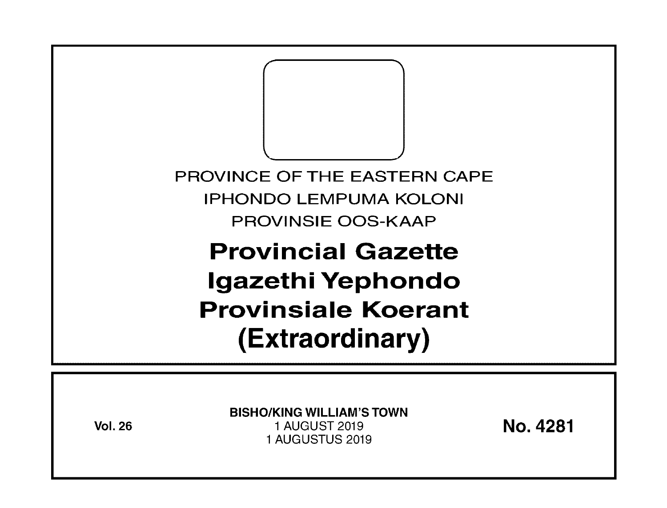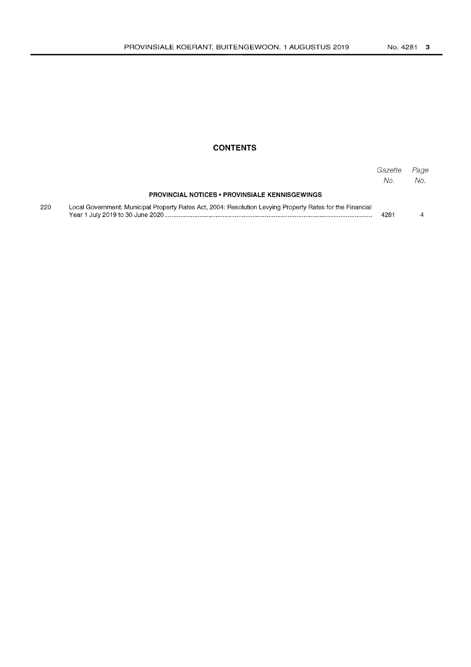## **CONTENTS**

|     |                                                                                                           | Gazette<br>No. | Page<br>No. |
|-----|-----------------------------------------------------------------------------------------------------------|----------------|-------------|
|     | <b>PROVINCIAL NOTICES • PROVINSIALE KENNISGEWINGS</b>                                                     |                |             |
| 220 | Local Government: Municipal Property Rates Act, 2004: Resolution Levying Property Rates for the Financial | 4281           |             |